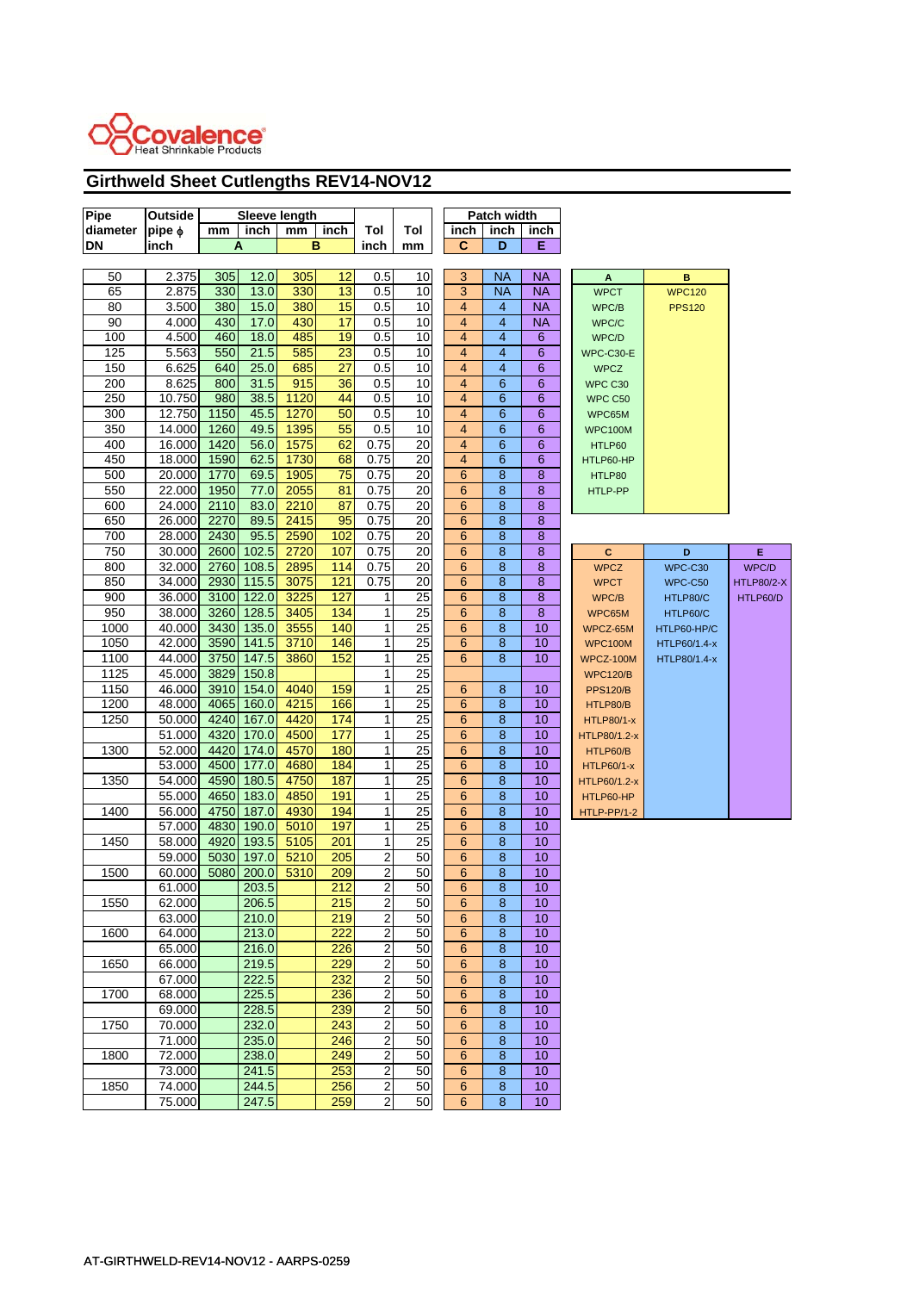

## **Girthweld Sheet Cutlengths REV14-NOV12**

| Pipe      | Outside     | Sleeve length |            |      |      |                  | Patch width     |                         |                  |           |                   |               |                   |
|-----------|-------------|---------------|------------|------|------|------------------|-----------------|-------------------------|------------------|-----------|-------------------|---------------|-------------------|
| diameter  | $pipe \phi$ | mm            | inch       | mm   | inch | Tol              | Tol             | inch                    | inch             | inch      |                   |               |                   |
| <b>DN</b> | inch        |               | A          |      | в    | inch             | mm              | C                       | D                | Е         |                   |               |                   |
|           |             |               |            |      |      |                  |                 |                         |                  |           |                   |               |                   |
| 50        | 2.375       | 305           | 12.0       | 305  | 12   | 0.5              | 10              | 3                       | <b>NA</b>        | <b>NA</b> | A                 | в             |                   |
| 65        | 2.875       | 330           | 13.0       | 330  | 13   | 0.5              | 10              | 3                       | <b>NA</b>        | <b>NA</b> | <b>WPCT</b>       | <b>WPC120</b> |                   |
| 80        | 3.500       | 380           | 15.0       | 380  | 15   | 0.5              | 10              | $\overline{\mathbf{4}}$ | $\overline{4}$   | <b>NA</b> | WPC/B             | <b>PPS120</b> |                   |
| 90        | 4.000       | 430           | 17.0       | 430  | 17   | 0.5              | 10              | 4                       | 4                | NA        | WPC/C             |               |                   |
| 100       | 4.500       | 460           | 18.0       | 485  | 19   | 0.5              | 10              | $\overline{\mathbf{4}}$ | $\overline{4}$   | 6         | WPC/D             |               |                   |
| 125       | 5.563       | 550           | 21.5       | 585  | 23   | 0.5              | 10              | $\overline{4}$          | $\overline{4}$   | 6         | WPC-C30-E         |               |                   |
| 150       | 6.625       | 640           | 25.0       | 685  | 27   | 0.5              | 10              | 4                       | 4                | 6         | <b>WPCZ</b>       |               |                   |
| 200       | 8.625       | 800           | 31.5       | 915  | 36   | 0.5              | 10              | $\overline{\mathbf{4}}$ | 6                | 6         | WPC C30           |               |                   |
| 250       | 10.750      | 980           | 38.5       | 1120 | 44   | 0.5              | 10              | $\overline{4}$          | 6                | 6         | WPC C50           |               |                   |
| 300       | 12.750      | 1150          | 45.5       | 1270 | 50   | 0.5              | 10              | $\overline{\mathbf{4}}$ | $6\phantom{1}6$  | 6         | WPC65M            |               |                   |
| 350       | 14.000      | 1260          | 49.5       | 1395 | 55   | 0.5              | 10              | $\overline{\mathbf{4}}$ | 6                | 6         | <b>WPC100M</b>    |               |                   |
| 400       | 16.000      | 1420          | 56.0       | 1575 | 62   | 0.75             | 20              | $\overline{4}$          | $6\phantom{1}6$  | 6         | HTLP60            |               |                   |
| 450       | 18.000      | 1590          | 62.5       | 1730 | 68   | 0.75             | 20              | 4                       | $6\phantom{1}6$  | 6         | HTLP60-HP         |               |                   |
| 500       | 20.000      | 1770          | 69.5       | 1905 | 75   | 0.75             | 20              | 6                       | $\bf8$           | 8         | HTLP80            |               |                   |
| 550       | 22.000      | 1950          | 77.0       | 2055 | 81   | 0.75             | 20              | 6                       | 8                | 8         | HTLP-PP           |               |                   |
| 600       | 24.000      | 2110          | 83.0       | 2210 | 87   | 0.75             | 20              | 6                       | 8                | 8         |                   |               |                   |
| 650       | 26.000      | 2270          | 89.5       | 2415 | 95   | 0.75             | 20              | 6                       | $\bf 8$          | 8         |                   |               |                   |
| 700       | 28.000      | 2430          | 95.5       | 2590 | 102  | 0.75             | 20              | 6                       | $\boldsymbol{8}$ | 8         |                   |               |                   |
|           |             |               |            |      |      |                  |                 |                         | 8                |           |                   |               |                   |
| 750       | 30.000      | 2600          | 102.5      | 2720 | 107  | 0.75             | 20              | 6                       |                  | 8         | c                 | D             | E.                |
| 800       | 32.000      | 2760          | 108.5      | 2895 | 114  | 0.75             | 20              | 6                       | 8                | 8         | <b>WPCZ</b>       | WPC-C30       | WPC/D             |
| 850       | 34.000      | 2930          | 115.5      | 3075 | 121  | 0.75             | 20              | 6                       | 8                | 8         | <b>WPCT</b>       | WPC-C50       | <b>HTLP80/2-X</b> |
| 900       | 36.000      |               | 3100 122.0 | 3225 | 127  | 1                | 25              | 6                       | 8                | 8         | WPC/B             | HTLP80/C      | HTLP60/D          |
| 950       | 38.000      | 3260          | 128.5      | 3405 | 134  | 1                | 25              | 6                       | 8                | 8         | WPC65M            | HTLP60/C      |                   |
| 1000      | 40.000      | 3430          | 135.0      | 3555 | 140  | 1                | 25              | 6                       | 8                | 10        | WPCZ-65M          | HTLP60-HP/C   |                   |
| 1050      | 42.000      | 3590          | 141.5      | 3710 | 146  | 1                | $\overline{25}$ | 6                       | 8                | 10        | <b>WPC100M</b>    | HTLP60/1.4-x  |                   |
| 1100      | 44.000      | 3750          | 147.5      | 3860 | 152  | 1                | 25              | 6                       | 8                | 10        | WPCZ-100M         | HTLP80/1.4-x  |                   |
| 1125      | 45.000      | 3829          | 150.8      |      |      | 1                | 25              |                         |                  |           | <b>WPC120/B</b>   |               |                   |
| 1150      | 46.000      | 3910          | 154.0      | 4040 | 159  | 1                | 25              | 6                       | $\boldsymbol{8}$ | 10        | <b>PPS120/B</b>   |               |                   |
| 1200      | 48.000      | 4065          | 160.0      | 4215 | 166  | 1                | 25              | 6                       | 8                | 10        | HTLP80/B          |               |                   |
| 1250      | 50.000      | 4240          | 167.0      | 4420 | 174  | 1                | 25              | 6                       | 8                | 10        | <b>HTLP80/1-x</b> |               |                   |
|           | 51.000      | 4320          | 170.0      | 4500 | 177  | 1                | 25              | 6                       | $\bf 8$          | 10        | HTLP80/1.2-x      |               |                   |
| 1300      | 52.000      | 4420          | 174.0      | 4570 | 180  | 1                | 25              | 6                       | 8                | 10        | HTLP60/B          |               |                   |
|           | 53.000      | 4500          | 177.0      | 4680 | 184  | 1                | 25              | 6                       | 8                | 10        | <b>HTLP60/1-x</b> |               |                   |
| 1350      | 54.000      | 4590          | 180.5      | 4750 | 187  | 1                | 25              | 6                       | $\bf 8$          | 10        | HTLP60/1.2-x      |               |                   |
|           | 55.000      | 4650          | 183.0      | 4850 | 191  | 1                | 25              | 6                       | 8                | 10        | HTLP60-HP         |               |                   |
| 1400      | 56.000      | 4750          | 187.0      | 4930 | 194  | 1                | 25              | 6                       | 8                | 10        | HTLP-PP/1-2       |               |                   |
|           | 57.000      | 4830          | 190.0      | 5010 | 197  | 1                | 25              | 6                       | 8                | 10        |                   |               |                   |
| 1450      | 58.000      | 4920          | 193.5      | 5105 | 201  | 1                | 25              | 6                       | 8                | 10        |                   |               |                   |
|           | 59.000      | 5030          | 197.0      | 5210 | 205  | $\overline{2}$   | 50              | 6                       | 8                | 10        |                   |               |                   |
| 1500      | 60.000      | 5080          | 200.0      | 5310 | 209  | 2                | 50              | 6                       | 8                | 10        |                   |               |                   |
|           | 61.000      |               | 203.5      |      | 212  | 2                | 50              | 6                       | 8                | 10        |                   |               |                   |
| 1550      | 62.000      |               | 206.5      |      | 215  | 2                | 50              | 6                       | 8                | 10        |                   |               |                   |
|           | 63.000      |               | 210.0      |      | 219  | $\overline{c}$   | 50              | 6                       | $\bf 8$          | 10        |                   |               |                   |
| 1600      | 64.000      |               | 213.0      |      | 222  | 2                | 50              | 6                       | 8                | 10        |                   |               |                   |
|           | 65.000      |               | 216.0      |      | 226  | $\overline{2}$   | 50              | 6                       | $\bf 8$          | 10        |                   |               |                   |
| 1650      | 66.000      |               | 219.5      |      | 229  | $\boldsymbol{2}$ | 50              | 6                       | $\bf8$           | 10        |                   |               |                   |
|           | 67.000      |               | 222.5      |      | 232  | 2                | 50              | 6                       | 8                | 10        |                   |               |                   |
| 1700      | 68.000      |               | 225.5      |      | 236  | $\overline{2}$   | 50              | 6                       | $\overline{8}$   | 10        |                   |               |                   |
|           | 69.000      |               | 228.5      |      | 239  | $\overline{c}$   | 50              | 6                       | $\overline{8}$   | 10        |                   |               |                   |
| 1750      | 70.000      |               | 232.0      |      | 243  | $\overline{2}$   | 50              | 6                       | $\bf 8$          | 10        |                   |               |                   |
|           | 71.000      |               | 235.0      |      | 246  | $\overline{2}$   | 50              | 6                       | $\bf 8$          | 10        |                   |               |                   |
| 1800      | 72.000      |               | 238.0      |      | 249  | $\overline{2}$   | 50              | 6                       | 8                | 10        |                   |               |                   |
|           | 73.000      |               | 241.5      |      | 253  | $\overline{2}$   | 50              | 6                       | $\bf 8$          | 10        |                   |               |                   |
| 1850      | 74.000      |               | 244.5      |      | 256  | $\overline{2}$   | 50              | 6                       | $\bf8$           | 10        |                   |               |                   |
|           | 75.000      |               | 247.5      |      | 259  | $\overline{2}$   | 50              | 6                       | 8                | 10        |                   |               |                   |
|           |             |               |            |      |      |                  |                 |                         |                  |           |                   |               |                   |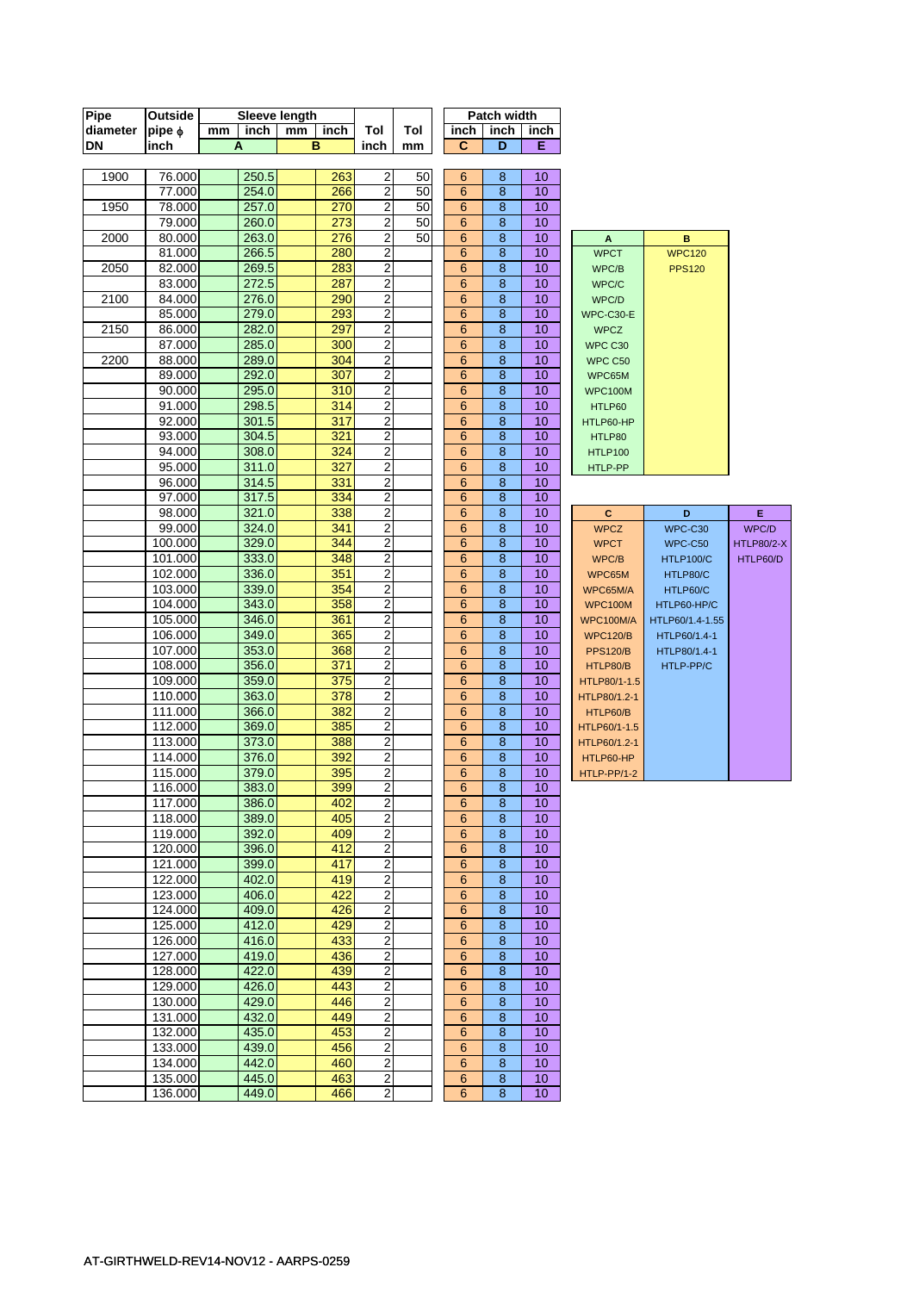| Pipe     | Outside            | Sleeve length |                |    |                  |                                    |     | Patch width          |        |          |                          |                  |                   |
|----------|--------------------|---------------|----------------|----|------------------|------------------------------------|-----|----------------------|--------|----------|--------------------------|------------------|-------------------|
| diameter | $pipe \phi$        | mm            | inch           | mm | inch             | Tol                                | Tol | inch                 | inch   | inch     |                          |                  |                   |
| DN       | inch               |               | A              |    | в                | inch                               | mm  | $\mathbf C$          | D      | Е        |                          |                  |                   |
|          |                    |               |                |    |                  |                                    |     |                      |        |          |                          |                  |                   |
| 1900     | 76.000             |               | 250.5          |    | 263              | $\boldsymbol{2}$                   | 50  | 6                    | 8      | 10       |                          |                  |                   |
|          | 77.000             |               | 254.0          |    | 266              | $\overline{2}$                     | 50  | 6                    | 8      | 10       |                          |                  |                   |
| 1950     | 78.000             |               | 257.0          |    | 270              | $\sqrt{2}$                         | 50  | $6\phantom{1}6$      | 8      | 10       |                          |                  |                   |
|          | 79.000             |               | 260.0          |    | 273              | $\overline{2}$                     | 50  | 6                    | 8      | 10       |                          |                  |                   |
| 2000     | 80.000             |               | 263.0          |    | 276              | $\overline{2}$                     | 50  | 6                    | 8      | 10       | Α                        | в                |                   |
|          | 81.000             |               | 266.5          |    | 280              | $\overline{2}$                     |     | 6                    | 8      | 10       | <b>WPCT</b>              | <b>WPC120</b>    |                   |
| 2050     | 82.000             |               | 269.5          |    | 283              | $\overline{2}$                     |     | 6                    | 8      | 10       | WPC/B                    | <b>PPS120</b>    |                   |
|          | 83.000             |               | 272.5          |    | 287              | $\overline{2}$                     |     | 6                    | 8      | 10       | WPC/C                    |                  |                   |
| 2100     | 84.000             |               | 276.0          |    | 290              | $\overline{2}$                     |     | $6\phantom{1}6$      | 8      | 10       | WPC/D                    |                  |                   |
|          | 85.000             |               | 279.0          |    | 293              | $\overline{2}$                     |     | 6                    | 8      | 10       | WPC-C30-E                |                  |                   |
| 2150     | 86.000             |               | 282.0          |    | 297              | $\overline{2}$                     |     | 6                    | 8      | 10       | <b>WPCZ</b>              |                  |                   |
|          | 87.000             |               | 285.0          |    | 300<br>304       | $\boldsymbol{2}$                   |     | $6\phantom{1}6$      | 8      | 10       | WPC C30                  |                  |                   |
| 2200     | 88.000<br>89.000   |               | 289.0<br>292.0 |    | 307              | $\boldsymbol{2}$<br>$\overline{2}$ |     | 6                    | 8<br>8 | 10<br>10 | WPC C50                  |                  |                   |
|          | 90.000             |               | 295.0          |    | 310              | $\boldsymbol{2}$                   |     | 6<br>$6\phantom{1}6$ | 8      | 10       | WPC65M                   |                  |                   |
|          | 91.000             |               | 298.5          |    | 314              | $\boldsymbol{2}$                   |     | $6\phantom{1}6$      | 8      | 10       | <b>WPC100M</b><br>HTLP60 |                  |                   |
|          | 92.000             |               | 301.5          |    | 317              | $\overline{2}$                     |     | $6\phantom{1}$       | 8      | 10       | HTLP60-HP                |                  |                   |
|          | 93.000             |               | 304.5          |    | 321              | $\overline{2}$                     |     | 6                    | 8      | 10       | HTLP80                   |                  |                   |
|          | 94.000             |               | 308.0          |    | 324              | $\boldsymbol{2}$                   |     | 6                    | 8      | 10       | <b>HTLP100</b>           |                  |                   |
|          | 95.000             |               | 311.0          |    | 327              | $\overline{2}$                     |     | 6                    | 8      | 10       | HTLP-PP                  |                  |                   |
|          | 96.000             |               | 314.5          |    | 331              | $\overline{2}$                     |     | $6\phantom{1}6$      | 8      | 10       |                          |                  |                   |
|          | 97.000             |               | 317.5          |    | 334              | $\boldsymbol{2}$                   |     | 6                    | 8      | 10       |                          |                  |                   |
|          | 98.000             |               | 321.0          |    | 338              | $\overline{2}$                     |     | 6                    | 8      | 10       | $\mathbf{C}$             | D                | E                 |
|          | 99.000             |               | 324.0          |    | 341              | $\overline{2}$                     |     | $6\phantom{1}6$      | 8      | 10       | <b>WPCZ</b>              | WPC-C30          | WPC/D             |
|          | 100.000            |               | 329.0          |    | 344              | $\boldsymbol{2}$                   |     | 6                    | 8      | 10       | <b>WPCT</b>              | WPC-C50          | <b>HTLP80/2-X</b> |
|          | 101.000            |               | 333.0          |    | 348              | $\overline{2}$                     |     | 6                    | 8      | 10       | WPC/B                    | <b>HTLP100/C</b> | HTLP60/D          |
|          | 102.000            |               | 336.0          |    | 351              | $\overline{2}$                     |     | $6\phantom{1}6$      | 8      | 10       | WPC65M                   | HTLP80/C         |                   |
|          | 103.000            |               | 339.0          |    | 354              | $\overline{\mathbf{c}}$            |     | 6                    | 8      | 10       | WPC65M/A                 | HTLP60/C         |                   |
|          | 104.000            |               | 343.0          |    | 358              | $\overline{2}$                     |     | 6                    | 8      | 10       | <b>WPC100M</b>           | HTLP60-HP/C      |                   |
|          | 105.000            |               | 346.0          |    | 361              | $\overline{c}$                     |     | $6\phantom{1}$       | 8      | 10       | WPC100M/A                | HTLP60/1.4-1.55  |                   |
|          | 106.000            |               | 349.0          |    | 365              | $\boldsymbol{2}$                   |     | 6                    | 8      | 10       | <b>WPC120/B</b>          | HTLP60/1.4-1     |                   |
|          | 107.000            |               | 353.0          |    | 368              | $\overline{2}$                     |     | 6                    | 8      | 10       | <b>PPS120/B</b>          | HTLP80/1.4-1     |                   |
|          | 108.000            |               | 356.0          |    | 371              | $\mathbf 2$                        |     | 6                    | 8      | 10       | HTLP80/B                 | HTLP-PP/C        |                   |
|          | 109.000            |               | 359.0          |    | $\overline{375}$ | $\overline{2}$                     |     | 6                    | 8      | 10       | HTLP80/1-1.5             |                  |                   |
|          | 110.000            |               | 363.0          |    | 378              | $\overline{2}$                     |     | 6                    | 8      | 10       | HTLP80/1.2-1             |                  |                   |
|          | 111.000            |               | 366.0          |    | 382              | $\overline{2}$                     |     | 6                    | 8      | 10       | HTLP60/B                 |                  |                   |
|          | 112.000            |               | 369.0          |    | 385              | $\overline{2}$                     |     | 6                    | 8      | 10       | HTLP60/1-1.5             |                  |                   |
|          | 113.000            |               | 373.0          |    | 388              | $\sqrt{2}$                         |     | 6                    | 8      | 10       | HTLP60/1.2-1             |                  |                   |
|          | 114.000            |               | 376.0          |    | 392              | $\overline{2}$                     |     | 6                    | 8      | 10       | HTLP60-HP                |                  |                   |
|          | 115.000            |               | 379.0          |    | 395              | $\overline{2}$                     |     | 6                    | 8      | 10       | HTLP-PP/1-2              |                  |                   |
|          | 116.000            |               | 383.0          |    | 399              | $\overline{2}$                     |     | 6                    | 8      | 10       |                          |                  |                   |
|          | 117.000            |               | 386.0          |    | 402              | 2                                  |     | 6                    | 8      | 10       |                          |                  |                   |
|          | 118.000<br>119.000 |               | 389.0<br>392.0 |    | 405<br>409       | $\boldsymbol{2}$<br>$\overline{2}$ |     | 6                    | 8      | 10<br>10 |                          |                  |                   |
|          | 120.000            |               | 396.0          |    | 412              | $\overline{c}$                     |     | 6<br>$6\phantom{1}$  | 8<br>8 | 10       |                          |                  |                   |
|          | 121.000            |               | 399.0          |    | 417              | $\overline{2}$                     |     | $6\phantom{1}$       | 8      | 10       |                          |                  |                   |
|          | 122.000            |               | 402.0          |    | 419              | 2                                  |     | 6                    | 8      | 10       |                          |                  |                   |
|          | 123.000            |               | 406.0          |    | 422              | $\overline{\mathbf{c}}$            |     | $\,$ 6 $\,$          | $\bf8$ | 10       |                          |                  |                   |
|          | 124.000            |               | 409.0          |    | 426              | $\overline{2}$                     |     | $6\phantom{1}$       | $\bf8$ | 10       |                          |                  |                   |
|          | 125.000            |               | 412.0          |    | 429              | $\overline{2}$                     |     | $6\phantom{1}6$      | 8      | 10       |                          |                  |                   |
|          | 126.000            |               | 416.0          |    | 433              | $\overline{2}$                     |     | $6\phantom{1}6$      | 8      | 10       |                          |                  |                   |
|          | 127.000            |               | 419.0          |    | 436              | $\mathbf 2$                        |     | $6\phantom{1}6$      | 8      | 10       |                          |                  |                   |
|          | 128.000            |               | 422.0          |    | 439              | 2                                  |     | 6                    | 8      | 10       |                          |                  |                   |
|          | 129.000            |               | 426.0          |    | 443              | $\overline{2}$                     |     | $6\phantom{1}6$      | 8      | 10       |                          |                  |                   |
|          | 130.000            |               | 429.0          |    | 446              | $\overline{2}$                     |     | $\,6$                | 8      | 10       |                          |                  |                   |
|          | 131.000            |               | 432.0          |    | 449              | $\overline{2}$                     |     | $\,6$                | $\bf8$ | 10       |                          |                  |                   |
|          | 132.000            |               | 435.0          |    | 453              | $\overline{2}$                     |     | $6\phantom{1}6$      | 8      | 10       |                          |                  |                   |
|          | 133.000            |               | 439.0          |    | 456              | $\overline{2}$                     |     | $6\phantom{1}$       | 8      | 10       |                          |                  |                   |
|          | 134.000            |               | 442.0          |    | 460              | $\overline{2}$                     |     | $6\phantom{1}$       | 8      | 10       |                          |                  |                   |
|          | 135.000            |               | 445.0          |    | 463              | $\overline{c}$                     |     | $6\phantom{1}$       | $\bf8$ | 10       |                          |                  |                   |
|          | 136.000            |               | 449.0          |    | 466              | $\overline{2}$                     |     | 6                    | 8      | 10       |                          |                  |                   |